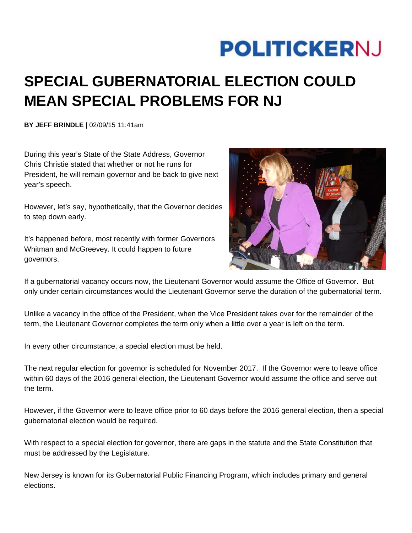## **POLITICKERNJ**

## **SPECIAL GUBERNATORIAL ELECTION COULD MEAN SPECIAL PROBLEMS FOR NJ**

**BY JEFF BRINDLE |** 02/09/15 11:41am

During this year's State of the State Address, Governor Chris Christie stated that whether or not he runs for President, he will remain governor and be back to give next year's speech.

However, let's say, hypothetically, that the Governor decides to step down early.

It's happened before, most recently with former Governors Whitman and McGreevey. It could happen to future governors.



If a gubernatorial vacancy occurs now, the Lieutenant Governor would assume the Office of Governor. But only under certain circumstances would the Lieutenant Governor serve the duration of the gubernatorial term.

Unlike a vacancy in the office of the President, when the Vice President takes over for the remainder of the term, the Lieutenant Governor completes the term only when a little over a year is left on the term.

In every other circumstance, a special election must be held.

The next regular election for governor is scheduled for November 2017. If the Governor were to leave office within 60 days of the 2016 general election, the Lieutenant Governor would assume the office and serve out the term.

However, if the Governor were to leave office prior to 60 days before the 2016 general election, then a special gubernatorial election would be required.

With respect to a special election for governor, there are gaps in the statute and the State Constitution that must be addressed by the Legislature.

New Jersey is known for its Gubernatorial Public Financing Program, which includes primary and general elections.